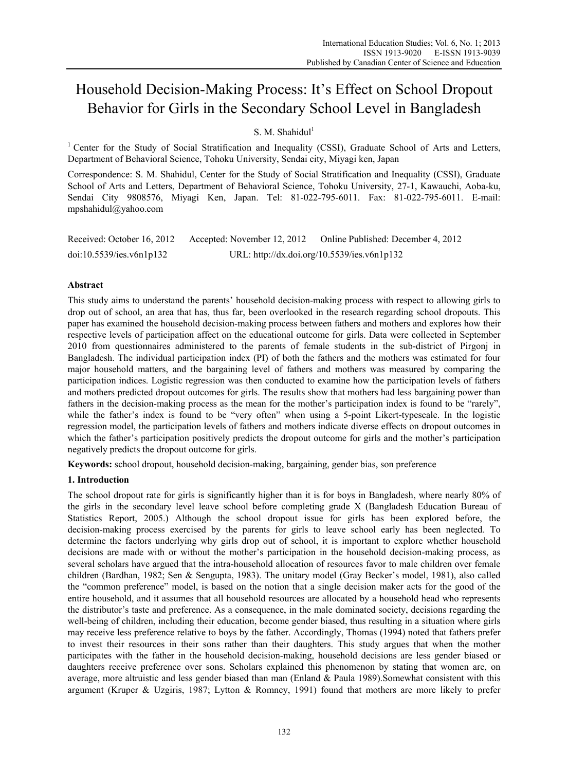# Household Decision-Making Process: It's Effect on School Dropout Behavior for Girls in the Secondary School Level in Bangladesh

# S. M. Shahidul $1$

<sup>1</sup> Center for the Study of Social Stratification and Inequality (CSSI), Graduate School of Arts and Letters, Department of Behavioral Science, Tohoku University, Sendai city, Miyagi ken, Japan

Correspondence: S. M. Shahidul, Center for the Study of Social Stratification and Inequality (CSSI), Graduate School of Arts and Letters, Department of Behavioral Science, Tohoku University, 27-1, Kawauchi, Aoba-ku, Sendai City 9808576, Miyagi Ken, Japan. Tel: 81-022-795-6011. Fax: 81-022-795-6011. E-mail: mpshahidul@yahoo.com

| Received: October 16, 2012 | Accepted: November 12, 2012 | Online Published: December 4, 2012          |
|----------------------------|-----------------------------|---------------------------------------------|
| doi:10.5539/ies.v6n1p132   |                             | URL: http://dx.doi.org/10.5539/ies.v6n1p132 |

# **Abstract**

This study aims to understand the parents' household decision-making process with respect to allowing girls to drop out of school, an area that has, thus far, been overlooked in the research regarding school dropouts. This paper has examined the household decision-making process between fathers and mothers and explores how their respective levels of participation affect on the educational outcome for girls. Data were collected in September 2010 from questionnaires administered to the parents of female students in the sub-district of Pirgonj in Bangladesh. The individual participation index (PI) of both the fathers and the mothers was estimated for four major household matters, and the bargaining level of fathers and mothers was measured by comparing the participation indices. Logistic regression was then conducted to examine how the participation levels of fathers and mothers predicted dropout outcomes for girls. The results show that mothers had less bargaining power than fathers in the decision-making process as the mean for the mother's participation index is found to be "rarely", while the father's index is found to be "very often" when using a 5-point Likert-typescale. In the logistic regression model, the participation levels of fathers and mothers indicate diverse effects on dropout outcomes in which the father's participation positively predicts the dropout outcome for girls and the mother's participation negatively predicts the dropout outcome for girls.

**Keywords:** school dropout, household decision-making, bargaining, gender bias, son preference

# **1. Introduction**

The school dropout rate for girls is significantly higher than it is for boys in Bangladesh, where nearly 80% of the girls in the secondary level leave school before completing grade X (Bangladesh Education Bureau of Statistics Report, 2005.) Although the school dropout issue for girls has been explored before, the decision-making process exercised by the parents for girls to leave school early has been neglected. To determine the factors underlying why girls drop out of school, it is important to explore whether household decisions are made with or without the mother's participation in the household decision-making process, as several scholars have argued that the intra-household allocation of resources favor to male children over female children (Bardhan, 1982; Sen & Sengupta, 1983). The unitary model (Gray Becker's model, 1981), also called the "common preference" model, is based on the notion that a single decision maker acts for the good of the entire household, and it assumes that all household resources are allocated by a household head who represents the distributor's taste and preference. As a consequence, in the male dominated society, decisions regarding the well-being of children, including their education, become gender biased, thus resulting in a situation where girls may receive less preference relative to boys by the father. Accordingly, Thomas (1994) noted that fathers prefer to invest their resources in their sons rather than their daughters. This study argues that when the mother participates with the father in the household decision-making, household decisions are less gender biased or daughters receive preference over sons. Scholars explained this phenomenon by stating that women are, on average, more altruistic and less gender biased than man (Enland & Paula 1989).Somewhat consistent with this argument (Kruper & Uzgiris, 1987; Lytton & Romney, 1991) found that mothers are more likely to prefer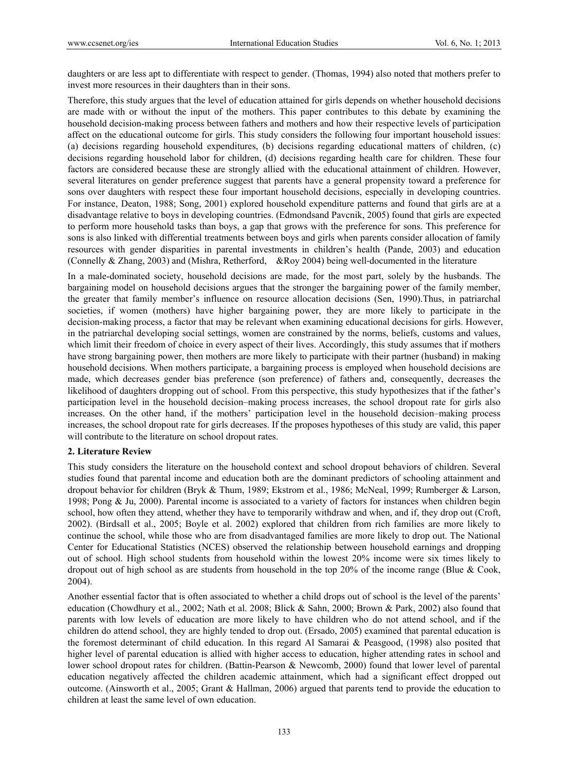daughters or are less apt to differentiate with respect to gender. (Thomas, 1994) also noted that mothers prefer to invest more resources in their daughters than in their sons.

Therefore, this study argues that the level of education attained for girls depends on whether household decisions are made with or without the input of the mothers. This paper contributes to this debate by examining the household decision-making process between fathers and mothers and how their respective levels of participation affect on the educational outcome for girls. This study considers the following four important household issues: (a) decisions regarding household expenditures, (b) decisions regarding educational matters of children, (c) decisions regarding household labor for children, (d) decisions regarding health care for children. These four factors are considered because these are strongly allied with the educational attainment of children. However, several literatures on gender preference suggest that parents have a general propensity toward a preference for sons over daughters with respect these four important household decisions, especially in developing countries. For instance, Deaton, 1988; Song, 2001) explored household expenditure patterns and found that girls are at a disadvantage relative to boys in developing countries. (Edmondsand Pavcnik, 2005) found that girls are expected to perform more household tasks than boys, a gap that grows with the preference for sons. This preference for sons is also linked with differential treatments between boys and girls when parents consider allocation of family resources with gender disparities in parental investments in children's health (Pande, 2003) and education (Connelly & Zhang, 2003) and (Mishra, Retherford, &Roy 2004) being well‐documented in the literature

In a male-dominated society, household decisions are made, for the most part, solely by the husbands. The bargaining model on household decisions argues that the stronger the bargaining power of the family member, the greater that family member's influence on resource allocation decisions (Sen, 1990).Thus, in patriarchal societies, if women (mothers) have higher bargaining power, they are more likely to participate in the decision-making process, a factor that may be relevant when examining educational decisions for girls. However, in the patriarchal developing social settings, women are constrained by the norms, beliefs, customs and values, which limit their freedom of choice in every aspect of their lives. Accordingly, this study assumes that if mothers have strong bargaining power, then mothers are more likely to participate with their partner (husband) in making household decisions. When mothers participate, a bargaining process is employed when household decisions are made, which decreases gender bias preference (son preference) of fathers and, consequently, decreases the likelihood of daughters dropping out of school. From this perspective, this study hypothesizes that if the father's participation level in the household decision–making process increases, the school dropout rate for girls also increases. On the other hand, if the mothers' participation level in the household decision–making process increases, the school dropout rate for girls decreases. If the proposes hypotheses of this study are valid, this paper will contribute to the literature on school dropout rates.

## **2. Literature Review**

This study considers the literature on the household context and school dropout behaviors of children. Several studies found that parental income and education both are the dominant predictors of schooling attainment and dropout behavior for children (Bryk & Thum, 1989; Ekstrom et al., 1986; McNeal, 1999; Rumberger & Larson, 1998; Pong & Ju, 2000). Parental income is associated to a variety of factors for instances when children begin school, how often they attend, whether they have to temporarily withdraw and when, and if, they drop out (Croft, 2002). (Birdsall et al., 2005; Boyle et al. 2002) explored that children from rich families are more likely to continue the school, while those who are from disadvantaged families are more likely to drop out. The National Center for Educational Statistics (NCES) observed the relationship between household earnings and dropping out of school. High school students from household within the lowest 20% income were six times likely to dropout out of high school as are students from household in the top 20% of the income range (Blue & Cook, 2004).

Another essential factor that is often associated to whether a child drops out of school is the level of the parents' education (Chowdhury et al., 2002; Nath et al. 2008; Blick & Sahn, 2000; Brown & Park, 2002) also found that parents with low levels of education are more likely to have children who do not attend school, and if the children do attend school, they are highly tended to drop out. (Ersado, 2005) examined that parental education is the foremost determinant of child education. In this regard Al Samarai & Peasgood, (1998) also posited that higher level of parental education is allied with higher access to education, higher attending rates in school and lower school dropout rates for children. (Battin-Pearson & Newcomb, 2000) found that lower level of parental education negatively affected the children academic attainment, which had a significant effect dropped out outcome. (Ainsworth et al., 2005; Grant & Hallman, 2006) argued that parents tend to provide the education to children at least the same level of own education.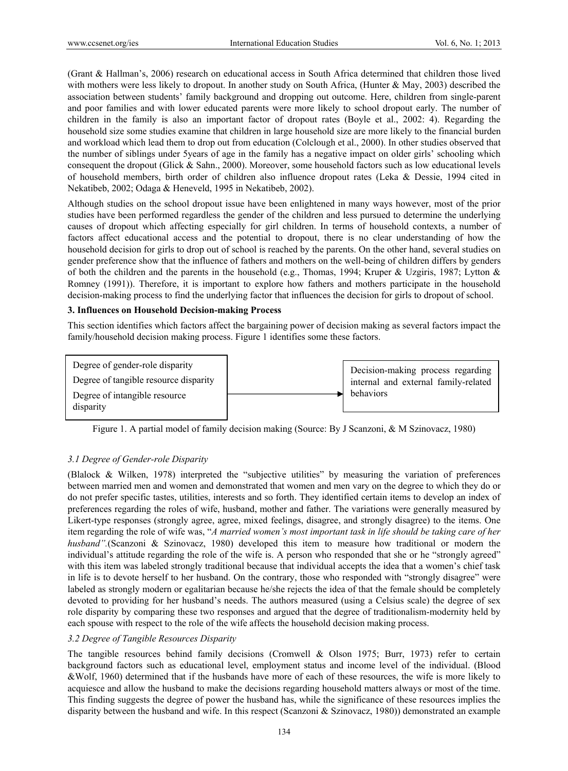(Grant & Hallman's, 2006) research on educational access in South Africa determined that children those lived with mothers were less likely to dropout. In another study on South Africa, (Hunter & May, 2003) described the association between students' family background and dropping out outcome. Here, children from single-parent and poor families and with lower educated parents were more likely to school dropout early. The number of children in the family is also an important factor of dropout rates (Boyle et al., 2002: 4). Regarding the household size some studies examine that children in large household size are more likely to the financial burden and workload which lead them to drop out from education (Colclough et al., 2000). In other studies observed that the number of siblings under 5years of age in the family has a negative impact on older girls' schooling which consequent the dropout (Glick & Sahn., 2000). Moreover, some household factors such as low educational levels of household members, birth order of children also influence dropout rates (Leka & Dessie, 1994 cited in Nekatibeb, 2002; Odaga & Heneveld, 1995 in Nekatibeb, 2002).

Although studies on the school dropout issue have been enlightened in many ways however, most of the prior studies have been performed regardless the gender of the children and less pursued to determine the underlying causes of dropout which affecting especially for girl children. In terms of household contexts, a number of factors affect educational access and the potential to dropout, there is no clear understanding of how the household decision for girls to drop out of school is reached by the parents. On the other hand, several studies on gender preference show that the influence of fathers and mothers on the well-being of children differs by genders of both the children and the parents in the household (e.g., Thomas, 1994; Kruper & Uzgiris, 1987; Lytton & Romney (1991)). Therefore, it is important to explore how fathers and mothers participate in the household decision-making process to find the underlying factor that influences the decision for girls to dropout of school.

## **3. Influences on Household Decision-making Process**

This section identifies which factors affect the bargaining power of decision making as several factors impact the family/household decision making process. Figure 1 identifies some these factors.





# *3.1 Degree of Gender-role Disparity*

(Blalock & Wilken, 1978) interpreted the "subjective utilities" by measuring the variation of preferences between married men and women and demonstrated that women and men vary on the degree to which they do or do not prefer specific tastes, utilities, interests and so forth. They identified certain items to develop an index of preferences regarding the roles of wife, husband, mother and father. The variations were generally measured by Likert-type responses (strongly agree, agree, mixed feelings, disagree, and strongly disagree) to the items. One item regarding the role of wife was, "*A married women's most important task in life should be taking care of her husband".*(Scanzoni & Szinovacz, 1980) developed this item to measure how traditional or modern the individual's attitude regarding the role of the wife is. A person who responded that she or he "strongly agreed" with this item was labeled strongly traditional because that individual accepts the idea that a women's chief task in life is to devote herself to her husband. On the contrary, those who responded with "strongly disagree" were labeled as strongly modern or egalitarian because he/she rejects the idea of that the female should be completely devoted to providing for her husband's needs. The authors measured (using a Celsius scale) the degree of sex role disparity by comparing these two responses and argued that the degree of traditionalism-modernity held by each spouse with respect to the role of the wife affects the household decision making process.

## *3.2 Degree of Tangible Resources Disparity*

The tangible resources behind family decisions (Cromwell & Olson 1975; Burr, 1973) refer to certain background factors such as educational level, employment status and income level of the individual. (Blood &Wolf, 1960) determined that if the husbands have more of each of these resources, the wife is more likely to acquiesce and allow the husband to make the decisions regarding household matters always or most of the time. This finding suggests the degree of power the husband has, while the significance of these resources implies the disparity between the husband and wife. In this respect (Scanzoni & Szinovacz, 1980)) demonstrated an example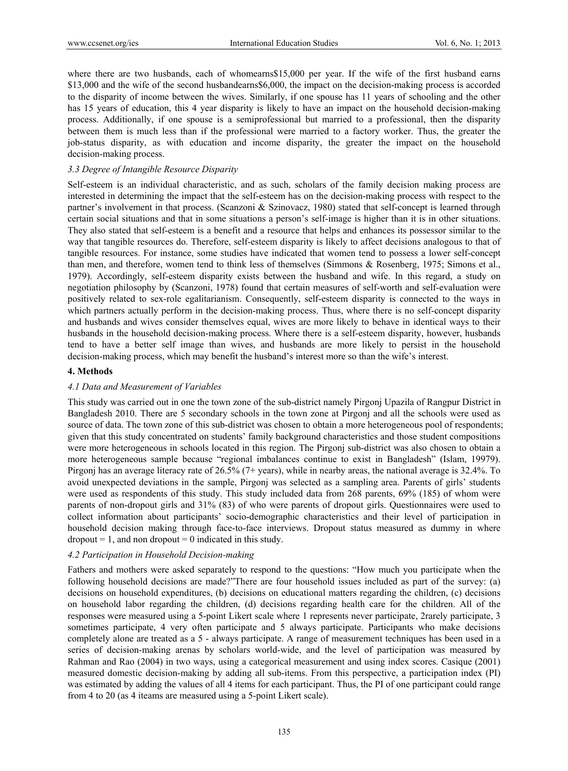where there are two husbands, each of whomearns\$15,000 per year. If the wife of the first husband earns \$13,000 and the wife of the second husbandearns\$6,000, the impact on the decision-making process is accorded to the disparity of income between the wives. Similarly, if one spouse has 11 years of schooling and the other has 15 years of education, this 4 year disparity is likely to have an impact on the household decision-making process. Additionally, if one spouse is a semiprofessional but married to a professional, then the disparity between them is much less than if the professional were married to a factory worker. Thus, the greater the job-status disparity, as with education and income disparity, the greater the impact on the household decision-making process.

# *3.3 Degree of Intangible Resource Disparity*

Self-esteem is an individual characteristic, and as such, scholars of the family decision making process are interested in determining the impact that the self-esteem has on the decision-making process with respect to the partner's involvement in that process. (Scanzoni & Szinovacz, 1980) stated that self-concept is learned through certain social situations and that in some situations a person's self-image is higher than it is in other situations. They also stated that self-esteem is a benefit and a resource that helps and enhances its possessor similar to the way that tangible resources do. Therefore, self-esteem disparity is likely to affect decisions analogous to that of tangible resources. For instance, some studies have indicated that women tend to possess a lower self-concept than men, and therefore, women tend to think less of themselves (Simmons & Rosenberg, 1975; Simons et al., 1979). Accordingly, self-esteem disparity exists between the husband and wife. In this regard, a study on negotiation philosophy by (Scanzoni, 1978) found that certain measures of self-worth and self-evaluation were positively related to sex-role egalitarianism. Consequently, self-esteem disparity is connected to the ways in which partners actually perform in the decision-making process. Thus, where there is no self-concept disparity and husbands and wives consider themselves equal, wives are more likely to behave in identical ways to their husbands in the household decision-making process. Where there is a self-esteem disparity, however, husbands tend to have a better self image than wives, and husbands are more likely to persist in the household decision-making process, which may benefit the husband's interest more so than the wife's interest.

#### **4. Methods**

## *4.1 Data and Measurement of Variables*

This study was carried out in one the town zone of the sub-district namely Pirgonj Upazila of Rangpur District in Bangladesh 2010. There are 5 secondary schools in the town zone at Pirgonj and all the schools were used as source of data. The town zone of this sub-district was chosen to obtain a more heterogeneous pool of respondents; given that this study concentrated on students' family background characteristics and those student compositions were more heterogeneous in schools located in this region. The Pirgonj sub-district was also chosen to obtain a more heterogeneous sample because "regional imbalances continue to exist in Bangladesh" (Islam, 19979). Pirgonj has an average literacy rate of 26.5% (7+ years), while in nearby areas, the national average is 32.4%. To avoid unexpected deviations in the sample, Pirgonj was selected as a sampling area. Parents of girls' students were used as respondents of this study. This study included data from 268 parents, 69% (185) of whom were parents of non-dropout girls and 31% (83) of who were parents of dropout girls. Questionnaires were used to collect information about participants' socio-demographic characteristics and their level of participation in household decision making through face-to-face interviews. Dropout status measured as dummy in where  $\text{dropout} = 1$ , and non dropout = 0 indicated in this study.

## *4.2 Participation in Household Decision-making*

Fathers and mothers were asked separately to respond to the questions: "How much you participate when the following household decisions are made?"There are four household issues included as part of the survey: (a) decisions on household expenditures, (b) decisions on educational matters regarding the children, (c) decisions on household labor regarding the children, (d) decisions regarding health care for the children. All of the responses were measured using a 5-point Likert scale where 1 represents never participate, 2rarely participate, 3 sometimes participate, 4 very often participate and 5 always participate. Participants who make decisions completely alone are treated as a 5 - always participate. A range of measurement techniques has been used in a series of decision-making arenas by scholars world-wide, and the level of participation was measured by Rahman and Rao (2004) in two ways, using a categorical measurement and using index scores. Casique (2001) measured domestic decision-making by adding all sub-items. From this perspective, a participation index (PI) was estimated by adding the values of all 4 items for each participant. Thus, the PI of one participant could range from 4 to 20 (as 4 iteams are measured using a 5-point Likert scale).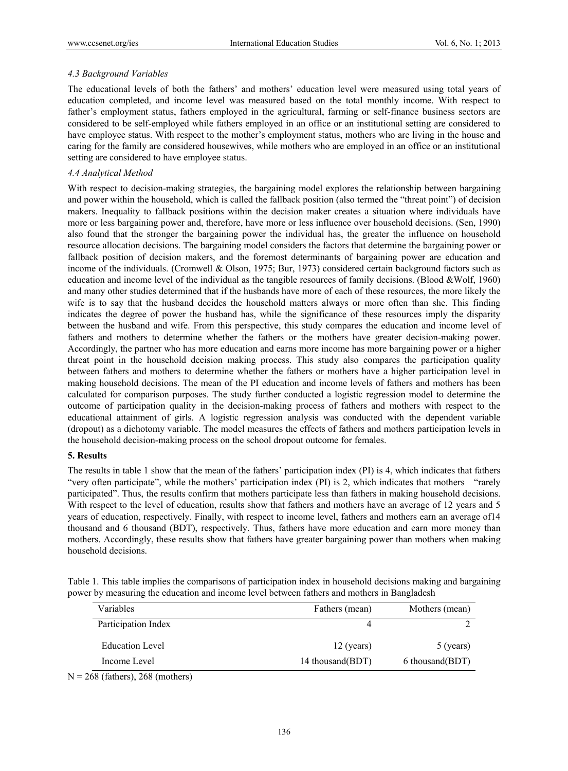# *4.3 Background Variables*

The educational levels of both the fathers' and mothers' education level were measured using total years of education completed, and income level was measured based on the total monthly income. With respect to father's employment status, fathers employed in the agricultural, farming or self-finance business sectors are considered to be self-employed while fathers employed in an office or an institutional setting are considered to have employee status. With respect to the mother's employment status, mothers who are living in the house and caring for the family are considered housewives, while mothers who are employed in an office or an institutional setting are considered to have employee status.

# *4.4 Analytical Method*

With respect to decision-making strategies, the bargaining model explores the relationship between bargaining and power within the household, which is called the fallback position (also termed the "threat point") of decision makers. Inequality to fallback positions within the decision maker creates a situation where individuals have more or less bargaining power and, therefore, have more or less influence over household decisions. (Sen, 1990) also found that the stronger the bargaining power the individual has, the greater the influence on household resource allocation decisions. The bargaining model considers the factors that determine the bargaining power or fallback position of decision makers, and the foremost determinants of bargaining power are education and income of the individuals. (Cromwell & Olson, 1975; Bur, 1973) considered certain background factors such as education and income level of the individual as the tangible resources of family decisions. (Blood &Wolf, 1960) and many other studies determined that if the husbands have more of each of these resources, the more likely the wife is to say that the husband decides the household matters always or more often than she. This finding indicates the degree of power the husband has, while the significance of these resources imply the disparity between the husband and wife. From this perspective, this study compares the education and income level of fathers and mothers to determine whether the fathers or the mothers have greater decision-making power. Accordingly, the partner who has more education and earns more income has more bargaining power or a higher threat point in the household decision making process. This study also compares the participation quality between fathers and mothers to determine whether the fathers or mothers have a higher participation level in making household decisions. The mean of the PI education and income levels of fathers and mothers has been calculated for comparison purposes. The study further conducted a logistic regression model to determine the outcome of participation quality in the decision-making process of fathers and mothers with respect to the educational attainment of girls. A logistic regression analysis was conducted with the dependent variable (dropout) as a dichotomy variable. The model measures the effects of fathers and mothers participation levels in the household decision-making process on the school dropout outcome for females.

## **5. Results**

The results in table 1 show that the mean of the fathers' participation index (PI) is 4, which indicates that fathers "very often participate", while the mothers' participation index (PI) is 2, which indicates that mothers "rarely participated". Thus, the results confirm that mothers participate less than fathers in making household decisions. With respect to the level of education, results show that fathers and mothers have an average of 12 years and 5 years of education, respectively. Finally, with respect to income level, fathers and mothers earn an average of14 thousand and 6 thousand (BDT), respectively. Thus, fathers have more education and earn more money than mothers. Accordingly, these results show that fathers have greater bargaining power than mothers when making household decisions.

Table 1. This table implies the comparisons of participation index in household decisions making and bargaining power by measuring the education and income level between fathers and mothers in Bangladesh

| 12 (years)        | 5 (years)        |
|-------------------|------------------|
| 14 thousand (BDT) | 6 thousand (BDT) |
|                   |                  |

 $N = 268$  (fathers), 268 (mothers)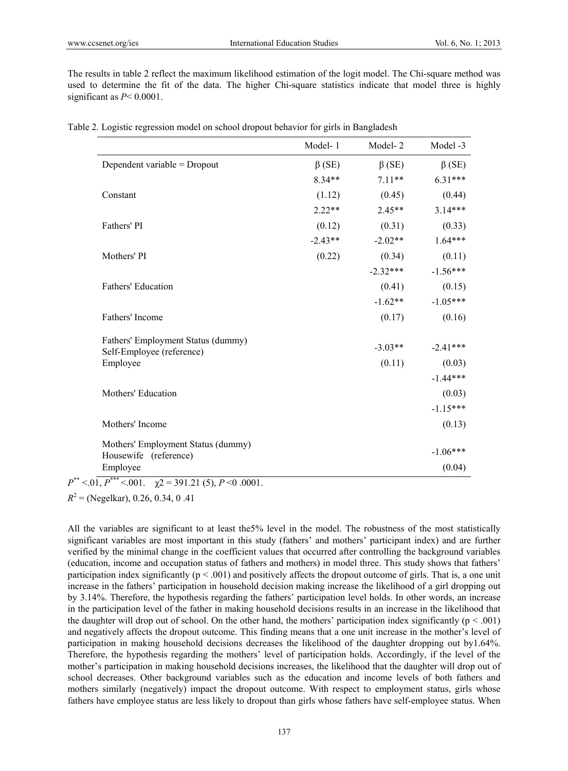The results in table 2 reflect the maximum likelihood estimation of the logit model. The Chi-square method was used to determine the fit of the data. The higher Chi-square statistics indicate that model three is highly significant as  $P < 0.0001$ .

|                                                             | Model-1      | Model-2      | Model -3             |
|-------------------------------------------------------------|--------------|--------------|----------------------|
| Dependent variable = Dropout                                | $\beta$ (SE) | $\beta$ (SE) | $\beta$ (SE)         |
|                                                             | $8.34**$     | $7.11**$     | $6.31***$            |
| Constant                                                    | (1.12)       | (0.45)       | (0.44)               |
|                                                             | $2.22**$     | $2.45**$     | $3.14***$            |
| Fathers' PI                                                 | (0.12)       | (0.31)       | (0.33)               |
|                                                             | $-2.43**$    | $-2.02**$    | $1.64***$            |
| Mothers' PI                                                 | (0.22)       | (0.34)       | (0.11)               |
|                                                             |              | $-2.32***$   | $-1.56***$           |
| Fathers' Education                                          |              | (0.41)       | (0.15)               |
|                                                             |              | $-1.62**$    | $-1.05***$           |
| Fathers' Income                                             |              | (0.17)       | (0.16)               |
| Fathers' Employment Status (dummy)                          |              | $-3.03**$    | $-2.41***$           |
| Self-Employee (reference)                                   |              |              |                      |
| Employee                                                    |              | (0.11)       | (0.03)<br>$-1.44***$ |
| Mothers' Education                                          |              |              | (0.03)               |
|                                                             |              |              | $-1.15***$           |
|                                                             |              |              |                      |
| Mothers' Income                                             |              |              | (0.13)               |
| Mothers' Employment Status (dummy)<br>Housewife (reference) |              |              | $-1.06***$           |
| Employee                                                    |              |              | (0.04)               |

|  |  |  |  | Table 2. Logistic regression model on school dropout behavior for girls in Bangladesh |
|--|--|--|--|---------------------------------------------------------------------------------------|
|  |  |  |  |                                                                                       |

 $P^{**} < 0.01, P^{***} < 0.001, \quad \gamma = 391.21$  (5),  $P \le 0.0001$ .

 $R^2$  = (Negelkar), 0.26, 0.34, 0.41

All the variables are significant to at least the5% level in the model. The robustness of the most statistically significant variables are most important in this study (fathers' and mothers' participant index) and are further verified by the minimal change in the coefficient values that occurred after controlling the background variables (education, income and occupation status of fathers and mothers) in model three. This study shows that fathers' participation index significantly  $(p < .001)$  and positively affects the dropout outcome of girls. That is, a one unit increase in the fathers' participation in household decision making increase the likelihood of a girl dropping out by 3.14%. Therefore, the hypothesis regarding the fathers' participation level holds. In other words, an increase in the participation level of the father in making household decisions results in an increase in the likelihood that the daughter will drop out of school. On the other hand, the mothers' participation index significantly ( $p < .001$ ) and negatively affects the dropout outcome. This finding means that a one unit increase in the mother's level of participation in making household decisions decreases the likelihood of the daughter dropping out by1.64%. Therefore, the hypothesis regarding the mothers' level of participation holds. Accordingly, if the level of the mother's participation in making household decisions increases, the likelihood that the daughter will drop out of school decreases. Other background variables such as the education and income levels of both fathers and mothers similarly (negatively) impact the dropout outcome. With respect to employment status, girls whose fathers have employee status are less likely to dropout than girls whose fathers have self-employee status. When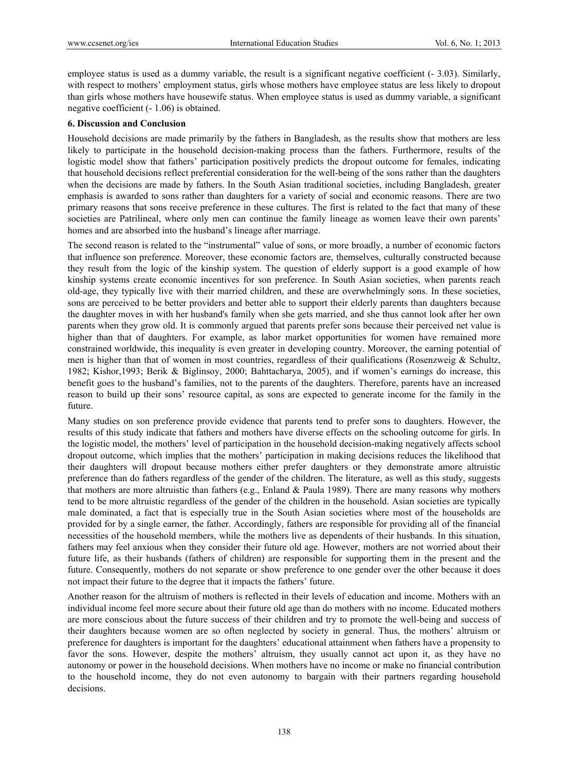employee status is used as a dummy variable, the result is a significant negative coefficient (- 3.03). Similarly, with respect to mothers' employment status, girls whose mothers have employee status are less likely to dropout than girls whose mothers have housewife status. When employee status is used as dummy variable, a significant negative coefficient (- 1.06) is obtained.

## **6. Discussion and Conclusion**

Household decisions are made primarily by the fathers in Bangladesh, as the results show that mothers are less likely to participate in the household decision-making process than the fathers. Furthermore, results of the logistic model show that fathers' participation positively predicts the dropout outcome for females, indicating that household decisions reflect preferential consideration for the well-being of the sons rather than the daughters when the decisions are made by fathers. In the South Asian traditional societies, including Bangladesh, greater emphasis is awarded to sons rather than daughters for a variety of social and economic reasons. There are two primary reasons that sons receive preference in these cultures. The first is related to the fact that many of these societies are Patrilineal, where only men can continue the family lineage as women leave their own parents' homes and are absorbed into the husband's lineage after marriage.

The second reason is related to the "instrumental" value of sons, or more broadly, a number of economic factors that influence son preference. Moreover, these economic factors are, themselves, culturally constructed because they result from the logic of the kinship system. The question of elderly support is a good example of how kinship systems create economic incentives for son preference. In South Asian societies, when parents reach old-age, they typically live with their married children, and these are overwhelmingly sons. In these societies, sons are perceived to be better providers and better able to support their elderly parents than daughters because the daughter moves in with her husband's family when she gets married, and she thus cannot look after her own parents when they grow old. It is commonly argued that parents prefer sons because their perceived net value is higher than that of daughters. For example, as labor market opportunities for women have remained more constrained worldwide, this inequality is even greater in developing country. Moreover, the earning potential of men is higher than that of women in most countries, regardless of their qualifications (Rosenzweig & Schultz, 1982; Kishor,1993; Berik & Biglinsoy, 2000; Bahttacharya, 2005), and if women's earnings do increase, this benefit goes to the husband's families, not to the parents of the daughters. Therefore, parents have an increased reason to build up their sons' resource capital, as sons are expected to generate income for the family in the future.

Many studies on son preference provide evidence that parents tend to prefer sons to daughters. However, the results of this study indicate that fathers and mothers have diverse effects on the schooling outcome for girls. In the logistic model, the mothers' level of participation in the household decision-making negatively affects school dropout outcome, which implies that the mothers' participation in making decisions reduces the likelihood that their daughters will dropout because mothers either prefer daughters or they demonstrate amore altruistic preference than do fathers regardless of the gender of the children. The literature, as well as this study, suggests that mothers are more altruistic than fathers (e.g., Enland & Paula 1989). There are many reasons why mothers tend to be more altruistic regardless of the gender of the children in the household. Asian societies are typically male dominated, a fact that is especially true in the South Asian societies where most of the households are provided for by a single earner, the father. Accordingly, fathers are responsible for providing all of the financial necessities of the household members, while the mothers live as dependents of their husbands. In this situation, fathers may feel anxious when they consider their future old age. However, mothers are not worried about their future life, as their husbands (fathers of children) are responsible for supporting them in the present and the future. Consequently, mothers do not separate or show preference to one gender over the other because it does not impact their future to the degree that it impacts the fathers' future.

Another reason for the altruism of mothers is reflected in their levels of education and income. Mothers with an individual income feel more secure about their future old age than do mothers with no income. Educated mothers are more conscious about the future success of their children and try to promote the well-being and success of their daughters because women are so often neglected by society in general. Thus, the mothers' altruism or preference for daughters is important for the daughters' educational attainment when fathers have a propensity to favor the sons. However, despite the mothers' altruism, they usually cannot act upon it, as they have no autonomy or power in the household decisions. When mothers have no income or make no financial contribution to the household income, they do not even autonomy to bargain with their partners regarding household decisions.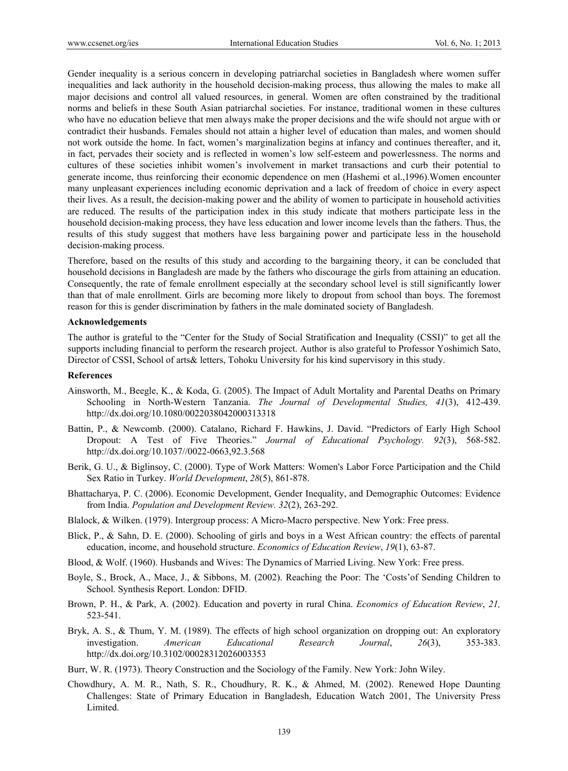Gender inequality is a serious concern in developing patriarchal societies in Bangladesh where women suffer inequalities and lack authority in the household decision-making process, thus allowing the males to make all major decisions and control all valued resources, in general. Women are often constrained by the traditional norms and beliefs in these South Asian patriarchal societies. For instance, traditional women in these cultures who have no education believe that men always make the proper decisions and the wife should not argue with or contradict their husbands. Females should not attain a higher level of education than males, and women should not work outside the home. In fact, women's marginalization begins at infancy and continues thereafter, and it, in fact, pervades their society and is reflected in women's low self-esteem and powerlessness. The norms and cultures of these societies inhibit women's involvement in market transactions and curb their potential to generate income, thus reinforcing their economic dependence on men (Hashemi et al.,1996).Women encounter many unpleasant experiences including economic deprivation and a lack of freedom of choice in every aspect their lives. As a result, the decision-making power and the ability of women to participate in household activities are reduced. The results of the participation index in this study indicate that mothers participate less in the household decision-making process, they have less education and lower income levels than the fathers. Thus, the results of this study suggest that mothers have less bargaining power and participate less in the household decision-making process.

Therefore, based on the results of this study and according to the bargaining theory, it can be concluded that household decisions in Bangladesh are made by the fathers who discourage the girls from attaining an education. Consequently, the rate of female enrollment especially at the secondary school level is still significantly lower than that of male enrollment. Girls are becoming more likely to dropout from school than boys. The foremost reason for this is gender discrimination by fathers in the male dominated society of Bangladesh.

#### **Acknowledgements**

The author is grateful to the "Center for the Study of Social Stratification and Inequality (CSSI)" to get all the supports including financial to perform the research project. Author is also grateful to Professor Yoshimich Sato, Director of CSSI, School of arts& letters, Tohoku University for his kind supervisory in this study.

#### **References**

- Ainsworth, M., Beegle, K., & Koda, G. (2005). The Impact of Adult Mortality and Parental Deaths on Primary Schooling in North-Western Tanzania. *The Journal of Developmental Studies, 41*(3), 412-439. http://dx.doi.org/10.1080/0022038042000313318
- Battin, P., & Newcomb. (2000). Catalano, Richard F. Hawkins, J. David. "Predictors of Early High School Dropout: A Test of Five Theories." *Journal of Educational Psychology. 92*(3), 568-582. http://dx.doi.org/10.1037//0022-0663,92.3.568
- Berik, G. U., & Biglinsoy, C. (2000). Type of Work Matters: Women's Labor Force Participation and the Child Sex Ratio in Turkey. *World Development*, *28*(5), 861-878.
- Bhattacharya, P. C. (2006). Economic Development, Gender Inequality, and Demographic Outcomes: Evidence from India. *Population and Development Review. 32*(2), 263-292.
- Blalock, & Wilken. (1979). Intergroup process: A Micro-Macro perspective. New York: Free press.
- Blick, P., & Sahn, D. E. (2000). Schooling of girls and boys in a West African country: the effects of parental education, income, and household structure. *Economics of Education Review*, *19*(1), 63-87.
- Blood, & Wolf. (1960). Husbands and Wives: The Dynamics of Married Living. New York: Free press.
- Boyle, S., Brock, A., Mace, J., & Sibbons, M. (2002). Reaching the Poor: The 'Costs'of Sending Children to School. Synthesis Report. London: DFID.
- Brown, P. H., & Park, A. (2002). Education and poverty in rural China. *Economics of Education Review*, *21,*  523-541.
- Bryk, A. S., & Thum, Y. M. (1989). The effects of high school organization on dropping out: An exploratory investigation. *American Educational Research Journal*, *26*(3), 353-383. http://dx.doi.org/10.3102/00028312026003353
- Burr, W. R. (1973). Theory Construction and the Sociology of the Family. New York: John Wiley.
- Chowdhury, A. M. R., Nath, S. R., Choudhury, R. K., & Ahmed, M. (2002). Renewed Hope Daunting Challenges: State of Primary Education in Bangladesh, Education Watch 2001, The University Press Limited.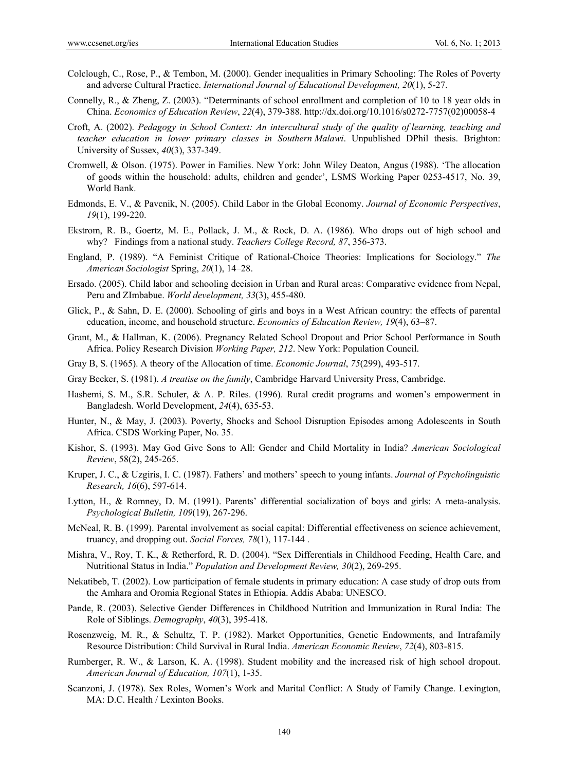- Colclough, C., Rose, P., & Tembon, M. (2000). Gender inequalities in Primary Schooling: The Roles of Poverty and adverse Cultural Practice. *International Journal of Educational Development, 20*(1), 5-27.
- Connelly, R., & Zheng, Z. (2003). "Determinants of school enrollment and completion of 10 to 18 year olds in China. *Economics of Education Review*, *22*(4), 379-388. http://dx.doi.org/10.1016/s0272-7757(02)00058-4
- Croft, A. (2002). *Pedagogy in School Context: An intercultural study of the quality of learning, teaching and teacher education in lower primary classes in Southern Malawi*. Unpublished DPhil thesis. Brighton: University of Sussex, *40*(3), 337-349.
- Cromwell, & Olson. (1975). Power in Families. New York: John Wiley Deaton, Angus (1988). 'The allocation of goods within the household: adults, children and gender', LSMS Working Paper 0253-4517, No. 39, World Bank.
- Edmonds, E. V., & Pavcnik, N. (2005). Child Labor in the Global Economy. *Journal of Economic Perspectives*, *19*(1), 199-220.
- Ekstrom, R. B., Goertz, M. E., Pollack, J. M., & Rock, D. A. (1986). Who drops out of high school and why? Findings from a national study. *Teachers College Record, 87*, 356-373.
- England, P. (1989). "A Feminist Critique of Rational-Choice Theories: Implications for Sociology." *The American Sociologist* Spring, *20*(1), 14–28.
- Ersado. (2005). Child labor and schooling decision in Urban and Rural areas: Comparative evidence from Nepal, Peru and ZImbabue. *World development, 33*(3), 455-480.
- Glick, P., & Sahn, D. E. (2000). Schooling of girls and boys in a West African country: the effects of parental education, income, and household structure. *Economics of Education Review, 19*(4), 63–87.
- Grant, M., & Hallman, K. (2006). Pregnancy Related School Dropout and Prior School Performance in South Africa. Policy Research Division *Working Paper, 212*. New York: Population Council.
- Gray B, S. (1965). A theory of the Allocation of time. *Economic Journal*, *75*(299), 493-517.
- Gray Becker, S. (1981). *A treatise on the family*, Cambridge Harvard University Press, Cambridge.
- Hashemi, S. M., S.R. Schuler, & A. P. Riles. (1996). Rural credit programs and women's empowerment in Bangladesh. World Development, *24*(4), 635-53.
- Hunter, N., & May, J. (2003). Poverty, Shocks and School Disruption Episodes among Adolescents in South Africa. CSDS Working Paper, No. 35.
- Kishor, S. (1993). May God Give Sons to All: Gender and Child Mortality in India? *American Sociological Review*, 58(2), 245-265.
- Kruper, J. C., & Uzgiris, I. C. (1987). Fathers' and mothers' speech to young infants. *Journal of Psycholinguistic Research, 16*(6), 597-614.
- Lytton, H., & Romney, D. M. (1991). Parents' differential socialization of boys and girls: A meta-analysis. *Psychological Bulletin, 109*(19), 267-296.
- McNeal, R. B. (1999). Parental involvement as social capital: Differential effectiveness on science achievement, truancy, and dropping out. *Social Forces, 78*(1), 117-144 .
- Mishra, V., Roy, T. K., & Retherford, R. D. (2004). "Sex Differentials in Childhood Feeding, Health Care, and Nutritional Status in India." *Population and Development Review, 30*(2), 269-295.
- Nekatibeb, T. (2002). Low participation of female students in primary education: A case study of drop outs from the Amhara and Oromia Regional States in Ethiopia. Addis Ababa: UNESCO.
- Pande, R. (2003). Selective Gender Differences in Childhood Nutrition and Immunization in Rural India: The Role of Siblings. *Demography*, *40*(3), 395-418.
- Rosenzweig, M. R., & Schultz, T. P. (1982). Market Opportunities, Genetic Endowments, and Intrafamily Resource Distribution: Child Survival in Rural India. *American Economic Review*, *72*(4), 803-815.
- Rumberger, R. W., & Larson, K. A. (1998). Student mobility and the increased risk of high school dropout. *American Journal of Education, 107*(1), 1-35.
- Scanzoni, J. (1978). Sex Roles, Women's Work and Marital Conflict: A Study of Family Change. Lexington, MA: D.C. Health / Lexinton Books.